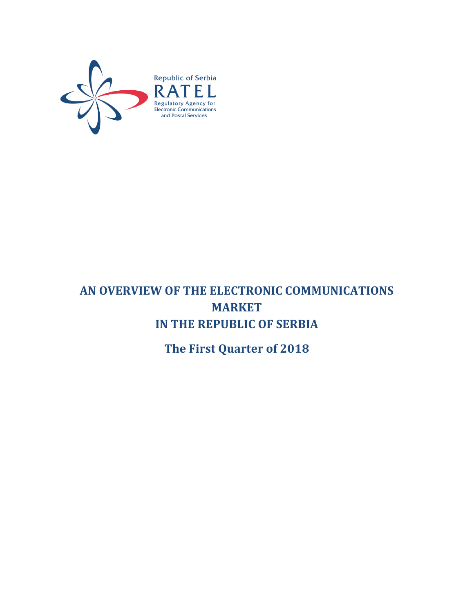

# **AN OVERVIEW OF THE ELECTRONIC COMMUNICATIONS MARKET IN THE REPUBLIC OF SERBIA**

**The First Quarter of 2018**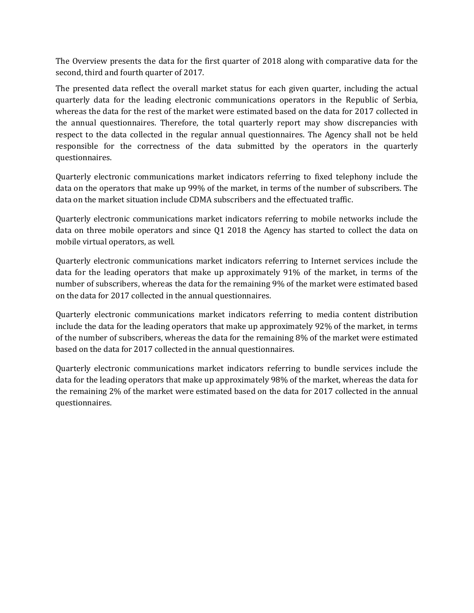The Overview presents the data for the first quarter of 2018 along with comparative data for the second, third and fourth quarter of 2017.

The presented data reflect the overall market status for each given quarter, including the actual quarterly data for the leading electronic communications operators in the Republic of Serbia, whereas the data for the rest of the market were estimated based on the data for 2017 collected in the annual questionnaires. Therefore, the total quarterly report may show discrepancies with respect to the data collected in the regular annual questionnaires. The Agency shall not be held responsible for the correctness of the data submitted by the operators in the quarterly questionnaires.

Quarterly electronic communications market indicators referring to fixed telephony include the data on the operators that make up 99% of the market, in terms of the number of subscribers. The data on the market situation include CDMA subscribers and the effectuated traffic.

Quarterly electronic communications market indicators referring to mobile networks include the data on three mobile operators and since Q1 2018 the Agency has started to collect the data on mobile virtual operators, as well.

Quarterly electronic communications market indicators referring to Internet services include the data for the leading operators that make up approximately 91% of the market, in terms of the number of subscribers, whereas the data for the remaining 9% of the market were estimated based on the data for 2017 collected in the annual questionnaires.

Quarterly electronic communications market indicators referring to media content distribution include the data for the leading operators that make up approximately 92% of the market, in terms of the number of subscribers, whereas the data for the remaining 8% of the market were estimated based on the data for 2017 collected in the annual questionnaires.

Quarterly electronic communications market indicators referring to bundle services include the data for the leading operators that make up approximately 98% of the market, whereas the data for the remaining 2% of the market were estimated based on the data for 2017 collected in the annual questionnaires.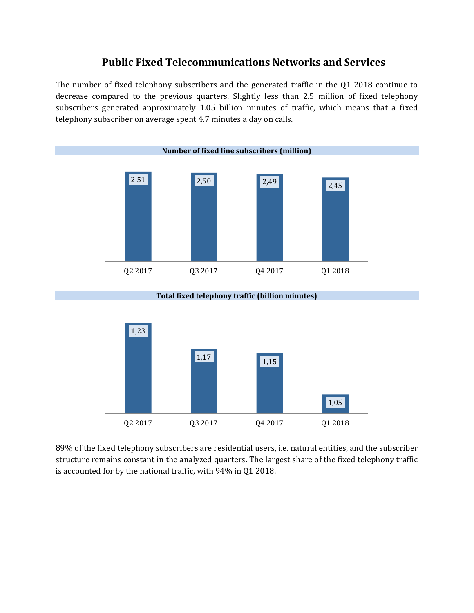#### **Public Fixed Telecommunications Networks and Services**

The number of fixed telephony subscribers and the generated traffic in the Q1 2018 continue to decrease compared to the previous quarters. Slightly less than 2.5 million of fixed telephony subscribers generated approximately 1.05 billion minutes of traffic, which means that a fixed telephony subscriber on average spent 4.7 minutes a day on calls.



**Total fixed telephony traffic (billion minutes)**



89% of the fixed telephony subscribers are residential users, i.e. natural entities, and the subscriber structure remains constant in the analyzed quarters. The largest share of the fixed telephony traffic is accounted for by the national traffic, with 94% in Q1 2018.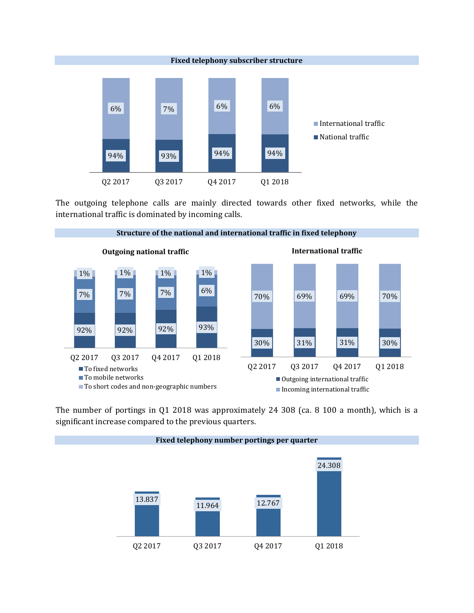

The outgoing telephone calls are mainly directed towards other fixed networks, while the international traffic is dominated by incoming calls.



The number of portings in Q1 2018 was approximately 24 308 (ca. 8 100 a month), which is a significant increase compared to the previous quarters.

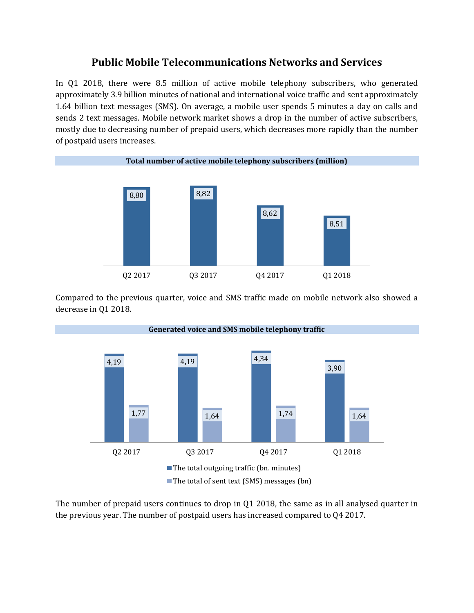## **Public Mobile Telecommunications Networks and Services**

In Q1 2018, there were 8.5 million of active mobile telephony subscribers, who generated approximately 3.9 billion minutes of national and international voice traffic and sent approximately 1.64 billion text messages (SMS). On average, a mobile user spends 5 minutes a day on calls and sends 2 text messages. Mobile network market shows a drop in the number of active subscribers, mostly due to decreasing number of prepaid users, which decreases more rapidly than the number of postpaid users increases.



Compared to the previous quarter, voice and SMS traffic made on mobile network also showed a decrease in Q1 2018.



The number of prepaid users continues to drop in Q1 2018, the same as in all analysed quarter in the previous year. The number of postpaid users has increased compared to Q4 2017.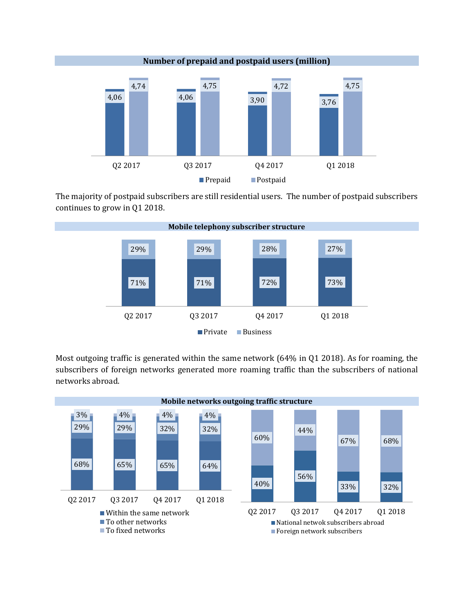

The majority of postpaid subscribers are still residential users. The number of postpaid subscribers continues to grow in Q1 2018.



Most outgoing traffic is generated within the same network (64% in Q1 2018). As for roaming, the subscribers of foreign networks generated more roaming traffic than the subscribers of national networks abroad.

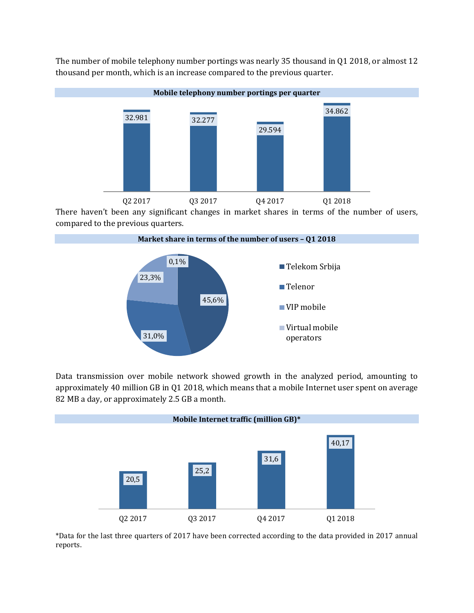

The number of mobile telephony number portings was nearly 35 thousand in Q1 2018, or almost 12 thousand per month, which is an increase compared to the previous quarter.

There haven't been any significant changes in market shares in terms of the number of users, compared to the previous quarters.



Data transmission over mobile network showed growth in the analyzed period, amounting to approximately 40 million GB in Q1 2018, which means that a mobile Internet user spent on average 82 MB a day, or approximately 2.5 GB a month.



\*Data for the last three quarters of 2017 have been corrected according to the data provided in 2017 annual reports.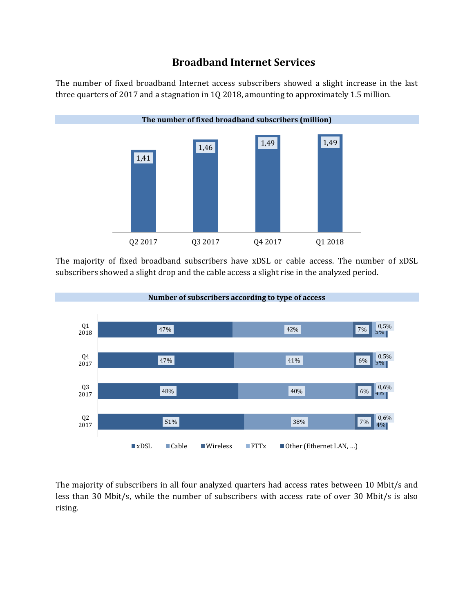## **Broadband Internet Services**

The number of fixed broadband Internet access subscribers showed a slight increase in the last three quarters of 2017 and a stagnation in 1Q 2018, amounting to approximately 1.5 million.



The majority of fixed broadband subscribers have xDSL or cable access. The number of xDSL subscribers showed a slight drop and the cable access a slight rise in the analyzed period.



The majority of subscribers in all four analyzed quarters had access rates between 10 Mbit/s and less than 30 Mbit/s, while the number of subscribers with access rate of over 30 Mbit/s is also rising.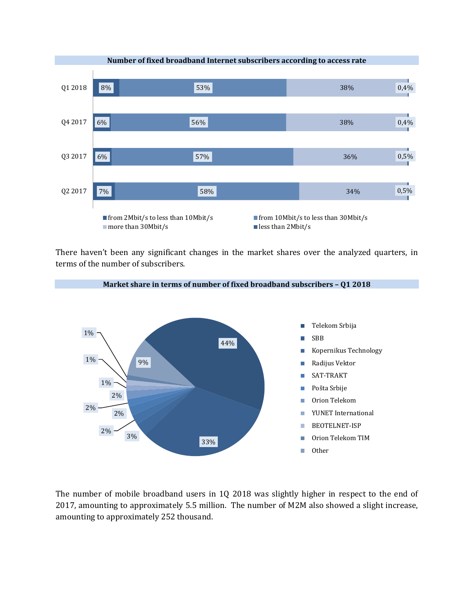

There haven't been any significant changes in the market shares over the analyzed quarters, in terms of the number of subscribers.

**Market share in terms of number of fixed broadband subscribers – Q1 2018**



The number of mobile broadband users in 1Q 2018 was slightly higher in respect to the end of 2017, amounting to approximately 5.5 million. The number of M2M also showed a slight increase, amounting to approximately 252 thousand.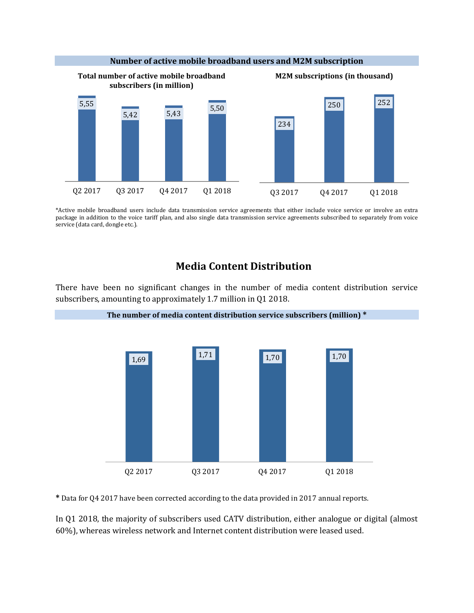

\*Active mobile broadband users include data transmission service agreements that either include voice service or involve an extra package in addition to the voice tariff plan, and also single data transmission service agreements subscribed to separately from voice service (data card, dongle etc.).

#### **Media Content Distribution**

There have been no significant changes in the number of media content distribution service subscribers, amounting to approximately 1.7 million in Q1 2018.



**\*** Data for Q4 2017 have been corrected according to the data provided in 2017 annual reports.

In Q1 2018, the majority of subscribers used CATV distribution, either analogue or digital (almost 60%), whereas wireless network and Internet content distribution were leased used.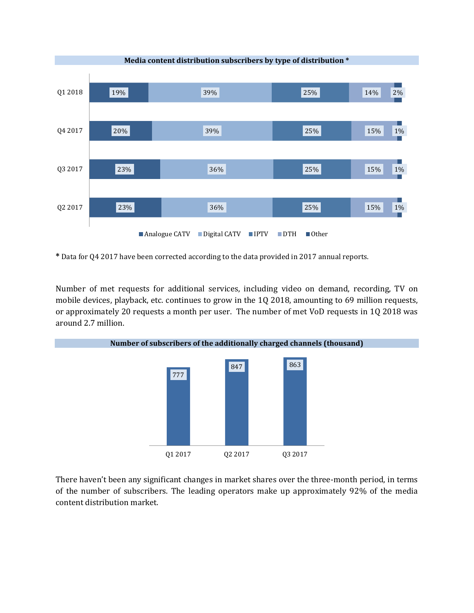

**\*** Data for Q4 2017 have been corrected according to the data provided in 2017 annual reports.

Number of met requests for additional services, including video on demand, recording, TV on mobile devices, playback, etc. continues to grow in the 1Q 2018, amounting to 69 million requests, or approximately 20 requests a month per user. The number of met VoD requests in 1Q 2018 was around 2.7 million.



There haven't been any significant changes in market shares over the three-month period, in terms of the number of subscribers. The leading operators make up approximately 92% of the media content distribution market.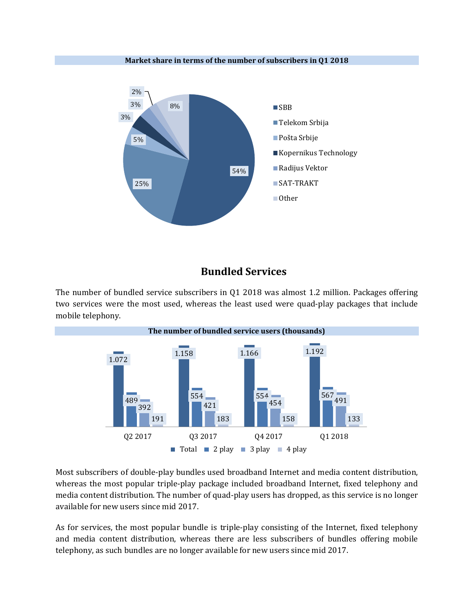

**Market share in terms of the number of subscribers in Q1 2018**

# **Bundled Services**

The number of bundled service subscribers in Q1 2018 was almost 1.2 million. Packages offering two services were the most used, whereas the least used were quad-play packages that include mobile telephony.



Most subscribers of double-play bundles used broadband Internet and media content distribution, whereas the most popular triple-play package included broadband Internet, fixed telephony and media content distribution. The number of quad-play users has dropped, as this service is no longer available for new users since mid 2017.

As for services, the most popular bundle is triple-play consisting of the Internet, fixed telephony and media content distribution, whereas there are less subscribers of bundles offering mobile telephony, as such bundles are no longer available for new users since mid 2017.